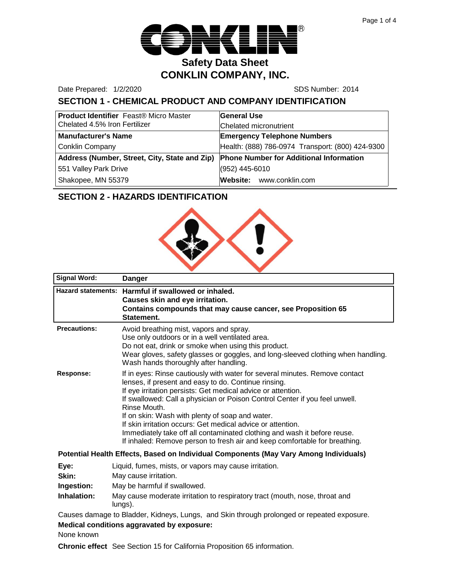

Date Prepared: 1/2/2020 SDS Number: 2014

# **SECTION 1 - CHEMICAL PRODUCT AND COMPANY IDENTIFICATION**

| <b>Product Identifier</b> Feast® Micro Master | <b>General Use</b>                               |  |
|-----------------------------------------------|--------------------------------------------------|--|
| Chelated 4.5% Iron Fertilizer                 | Chelated micronutrient                           |  |
| <b>Manufacturer's Name</b>                    | <b>Emergency Telephone Numbers</b>               |  |
| <b>Conklin Company</b>                        | Health: (888) 786-0974 Transport: (800) 424-9300 |  |
| Address (Number, Street, City, State and Zip) | <b>Phone Number for Additional Information</b>   |  |
| 551 Valley Park Drive                         | (952) 445-6010                                   |  |
| Shakopee, MN 55379                            | Website: www.conklin.com                         |  |

# **SECTION 2 - HAZARDS IDENTIFICATION**



| <b>Signal Word:</b>                               | <b>Danger</b>                                                                                                                                                                                                                                                                                                                                                                                                                                                                                                                                                                  |  |
|---------------------------------------------------|--------------------------------------------------------------------------------------------------------------------------------------------------------------------------------------------------------------------------------------------------------------------------------------------------------------------------------------------------------------------------------------------------------------------------------------------------------------------------------------------------------------------------------------------------------------------------------|--|
| <b>Hazard statements:</b>                         | Harmful if swallowed or inhaled.<br>Causes skin and eye irritation.<br>Contains compounds that may cause cancer, see Proposition 65<br>Statement.                                                                                                                                                                                                                                                                                                                                                                                                                              |  |
| <b>Precautions:</b>                               | Avoid breathing mist, vapors and spray.<br>Use only outdoors or in a well ventilated area.<br>Do not eat, drink or smoke when using this product.<br>Wear gloves, safety glasses or goggles, and long-sleeved clothing when handling.<br>Wash hands thoroughly after handling.                                                                                                                                                                                                                                                                                                 |  |
| <b>Response:</b>                                  | If in eyes: Rinse cautiously with water for several minutes. Remove contact<br>lenses, if present and easy to do. Continue rinsing.<br>If eye irritation persists: Get medical advice or attention.<br>If swallowed: Call a physician or Poison Control Center if you feel unwell.<br>Rinse Mouth.<br>If on skin: Wash with plenty of soap and water.<br>If skin irritation occurs: Get medical advice or attention.<br>Immediately take off all contaminated clothing and wash it before reuse.<br>If inhaled: Remove person to fresh air and keep comfortable for breathing. |  |
|                                                   | Potential Health Effects, Based on Individual Components (May Vary Among Individuals)                                                                                                                                                                                                                                                                                                                                                                                                                                                                                          |  |
| Eye:                                              | Liquid, fumes, mists, or vapors may cause irritation.                                                                                                                                                                                                                                                                                                                                                                                                                                                                                                                          |  |
| Skin:                                             | May cause irritation.                                                                                                                                                                                                                                                                                                                                                                                                                                                                                                                                                          |  |
| Ingestion:                                        | May be harmful if swallowed.                                                                                                                                                                                                                                                                                                                                                                                                                                                                                                                                                   |  |
| Inhalation:                                       | May cause moderate irritation to respiratory tract (mouth, nose, throat and<br>lungs).                                                                                                                                                                                                                                                                                                                                                                                                                                                                                         |  |
|                                                   | Causes damage to Bladder, Kidneys, Lungs, and Skin through prolonged or repeated exposure.                                                                                                                                                                                                                                                                                                                                                                                                                                                                                     |  |
| <b>Medical conditions aggravated by exposure:</b> |                                                                                                                                                                                                                                                                                                                                                                                                                                                                                                                                                                                |  |

None known

**Chronic effect** See Section 15 for California Proposition 65 information.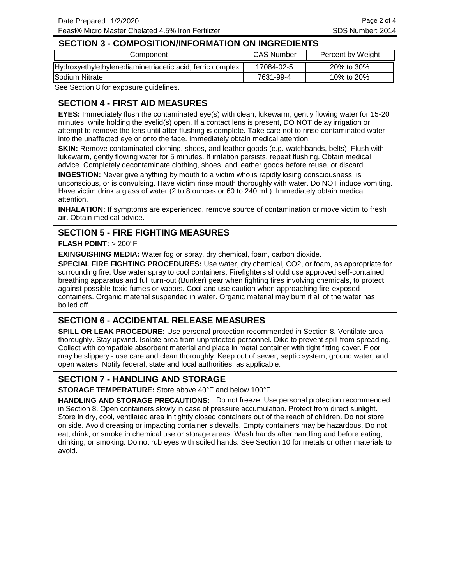#### **SECTION 3 - COMPOSITION/INFORMATION ON INGREDIENTS**

| Component                                                 | <b>CAS Number</b> | Percent by Weight |
|-----------------------------------------------------------|-------------------|-------------------|
| Hydroxyethylethylenediaminetriacetic acid, ferric complex | 17084-02-5        | 20% to 30%        |
| Sodium Nitrate                                            | 7631-99-4         | 10% to 20%        |

See Section 8 for exposure guidelines.

### **SECTION 4 - FIRST AID MEASURES**

**EYES:** Immediately flush the contaminated eye(s) with clean, lukewarm, gently flowing water for 15-20 minutes, while holding the eyelid(s) open. If a contact lens is present, DO NOT delay irrigation or attempt to remove the lens until after flushing is complete. Take care not to rinse contaminated water into the unaffected eye or onto the face. Immediately obtain medical attention.

**SKIN:** Remove contaminated clothing, shoes, and leather goods (e.g. watchbands, belts). Flush with lukewarm, gently flowing water for 5 minutes. If irritation persists, repeat flushing. Obtain medical advice. Completely decontaminate clothing, shoes, and leather goods before reuse, or discard.

**INGESTION:** Never give anything by mouth to a victim who is rapidly losing consciousness, is unconscious, or is convulsing. Have victim rinse mouth thoroughly with water. Do NOT induce vomiting. Have victim drink a glass of water (2 to 8 ounces or 60 to 240 mL). Immediately obtain medical attention.

**INHALATION:** If symptoms are experienced, remove source of contamination or move victim to fresh air. Obtain medical advice.

### **SECTION 5 - FIRE FIGHTING MEASURES**

#### **FLASH POINT:** > 200°F

**EXINGUISHING MEDIA:** Water fog or spray, dry chemical, foam, carbon dioxide.

**SPECIAL FIRE FIGHTING PROCEDURES:** Use water, dry chemical, CO2, or foam, as appropriate for surrounding fire. Use water spray to cool containers. Firefighters should use approved self-contained breathing apparatus and full turn-out (Bunker) gear when fighting fires involving chemicals, to protect against possible toxic fumes or vapors. Cool and use caution when approaching fire-exposed containers. Organic material suspended in water. Organic material may burn if all of the water has boiled off.

#### **SECTION 6 - ACCIDENTAL RELEASE MEASURES**

**SPILL OR LEAK PROCEDURE:** Use personal protection recommended in Section 8. Ventilate area thoroughly. Stay upwind. Isolate area from unprotected personnel. Dike to prevent spill from spreading. Collect with compatible absorbent material and place in metal container with tight fitting cover. Floor may be slippery - use care and clean thoroughly. Keep out of sewer, septic system, ground water, and open waters. Notify federal, state and local authorities, as applicable.

#### **SECTION 7 - HANDLING AND STORAGE**

**STORAGE TEMPERATURE:** Store above 40°F and below 100°F.

HANDLING AND STORAGE PRECAUTIONS: Do not freeze. Use personal protection recommended in Section 8. Open containers slowly in case of pressure accumulation. Protect from direct sunlight. Store in dry, cool, ventilated area in tightly closed containers out of the reach of children. Do not store on side. Avoid creasing or impacting container sidewalls. Empty containers may be hazardous. Do not eat, drink, or smoke in chemical use or storage areas. Wash hands after handling and before eating, drinking, or smoking. Do not rub eyes with soiled hands. See Section 10 for metals or other materials to avoid.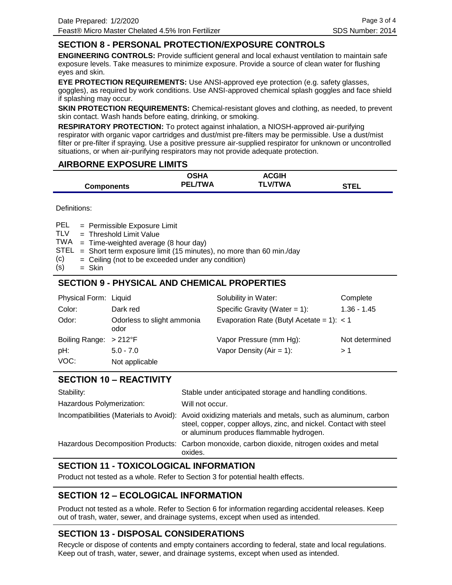### **SECTION 8 - PERSONAL PROTECTION/EXPOSURE CONTROLS**

**ENGINEERING CONTROLS:** Provide sufficient general and local exhaust ventilation to maintain safe exposure levels. Take measures to minimize exposure. Provide a source of clean water for flushing eyes and skin.

**EYE PROTECTION REQUIREMENTS:** Use ANSI-approved eye protection (e.g. safety glasses, goggles), as required by work conditions. Use ANSI-approved chemical splash goggles and face shield if splashing may occur.

**SKIN PROTECTION REQUIREMENTS:** Chemical-resistant gloves and clothing, as needed, to prevent skin contact. Wash hands before eating, drinking, or smoking.

**RESPIRATORY PROTECTION:** To protect against inhalation, a NIOSH-approved air-purifying respirator with organic vapor cartridges and dust/mist pre-filters may be permissible. Use a dust/mist filter or pre-filter if spraying. Use a positive pressure air-supplied respirator for unknown or uncontrolled situations, or when air-purifying respirators may not provide adequate protection.

### **AIRBORNE EXPOSURE LIMITS**

|                   | <b>OSHA</b>    | <b>ACGIH</b>   |             |
|-------------------|----------------|----------------|-------------|
| <b>Components</b> | <b>PEL/TWA</b> | <b>TLV/TWA</b> | <b>STEL</b> |

Definitions:

= Permissible Exposure Limit PEL

- Threshold Limit Value = TLV
- TWA = Time-weighted average (8 hour day)
- $STEL$  = Short term exposure limit (15 minutes), no more than 60 min./day
- Ceiling (not to be exceeded under any condition) = (c)
- Skin = (s)

### **SECTION 9 - PHYSICAL AND CHEMICAL PROPERTIES**

| Physical Form: Liquid          |                                    | Solubility in Water:                        | Complete       |
|--------------------------------|------------------------------------|---------------------------------------------|----------------|
| Color:                         | Dark red                           | Specific Gravity (Water = $1$ ):            | $1.36 - 1.45$  |
| Odor:                          | Odorless to slight ammonia<br>odor | Evaporation Rate (Butyl Acetate = 1): $<$ 1 |                |
| Boiling Range: $>212^{\circ}F$ |                                    | Vapor Pressure (mm Hg):                     | Not determined |
| pH:                            | $5.0 - 7.0$                        | Vapor Density ( $Air = 1$ ):                | >1             |
| VOC:                           | Not applicable                     |                                             |                |

### **SECTION 10 – REACTIVITY**

| Stability:                | Stable under anticipated storage and handling conditions.                                                                                                                                                                |
|---------------------------|--------------------------------------------------------------------------------------------------------------------------------------------------------------------------------------------------------------------------|
| Hazardous Polymerization: | Will not occur.                                                                                                                                                                                                          |
|                           | Incompatibilities (Materials to Avoid): Avoid oxidizing materials and metals, such as aluminum, carbon<br>steel, copper, copper alloys, zinc, and nickel. Contact with steel<br>or aluminum produces flammable hydrogen. |
|                           | Hazardous Decomposition Products: Carbon monoxide, carbon dioxide, nitrogen oxides and metal<br>oxides.                                                                                                                  |

# **SECTION 11 - TOXICOLOGICAL INFORMATION**

Product not tested as a whole. Refer to Section 3 for potential health effects.

# **SECTION 12 – ECOLOGICAL INFORMATION**

Product not tested as a whole. Refer to Section 6 for information regarding accidental releases. Keep out of trash, water, sewer, and drainage systems, except when used as intended.

# **SECTION 13 - DISPOSAL CONSIDERATIONS**

Recycle or dispose of contents and empty containers according to federal, state and local regulations. Keep out of trash, water, sewer, and drainage systems, except when used as intended.